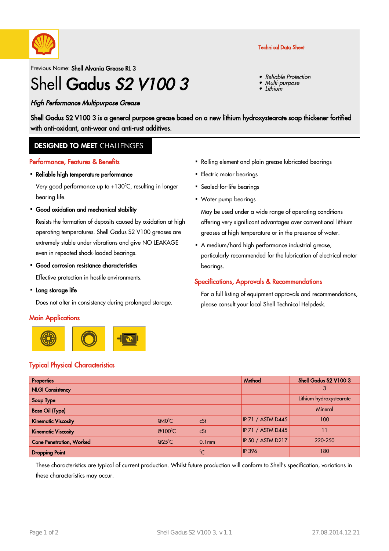

Previous Name: Shell Alvania Grease RL 3

# Shell Gadus S2 V100 3

# High Performance Multipurpose Grease

Technical Data Sheet

- •Reliable Protection
- •Multi-purpose
- •Lithium

Shell Gadus S2 V100 3 is a general purpose grease based on a new lithium hydroxystearate soap thickener fortified with anti-oxidant, anti-wear and anti-rust additives.

# **DESIGNED TO MEET CHALLENGES**

#### Performance, Features & Benefits

• Reliable high temperature performance

Very good performance up to +130°C, resulting in longer bearing life.

Good oxidation and mechanical stability ·

Resists the formation of deposits caused by oxidation at high operating temperatures. Shell Gadus S2 V100 greases are extremely stable under vibrations and give NO LEAKAGE even in repeated shock-loaded bearings.

Good corrosion resistance characteristics ·

Effective protection in hostile environments.

• Long storage life

Does not alter in consistency during prolonged storage.

## **Main Applications**



# Typical Physical Characteristics

- Rolling element and plain grease lubricated bearings
- Electric motor bearings
- Sealed-for-life bearings
- Water pump bearings ·

May be used under a wide range of operating conditions offering very significant advantages over conventional lithium greases at high temperature or in the presence of water.

A medium/hard high performance industrial grease, · particularly recommended for the lubrication of electrical motor bearings.

## Specifications, Approvals & Recommendations

For a full listing of equipment approvals and recommendations, please consult your local Shell Technical Helpdesk.

| <b>Properties</b>               |                  |                   | Method                   | Shell Gadus S2 V100 3   |
|---------------------------------|------------------|-------------------|--------------------------|-------------------------|
| <b>NLGI Consistency</b>         |                  |                   |                          |                         |
| Soap Type                       |                  |                   |                          | Lithium hydroxystearate |
| <b>Base Oil (Type)</b>          |                  |                   |                          | Mineral                 |
| <b>Kinematic Viscosity</b>      | $@40^{\circ}$ C  | cSt               | <b>IP 71 / ASTM D445</b> | 100                     |
| <b>Kinematic Viscosity</b>      | @100 $\degree$ C | cSt               | <b>IP 71 / ASTM D445</b> |                         |
| <b>Cone Penetration, Worked</b> | $@25^{\circ}$ C  | 0.1 <sub>mm</sub> | <b>IP 50 / ASTM D217</b> | 220-250                 |
| <b>Dropping Point</b>           |                  | $^{\circ}$ C      | <b>IP 396</b>            | 180                     |

These characteristics are typical of current production. Whilst future production will conform to Shell's specification, variations in these characteristics may occur.